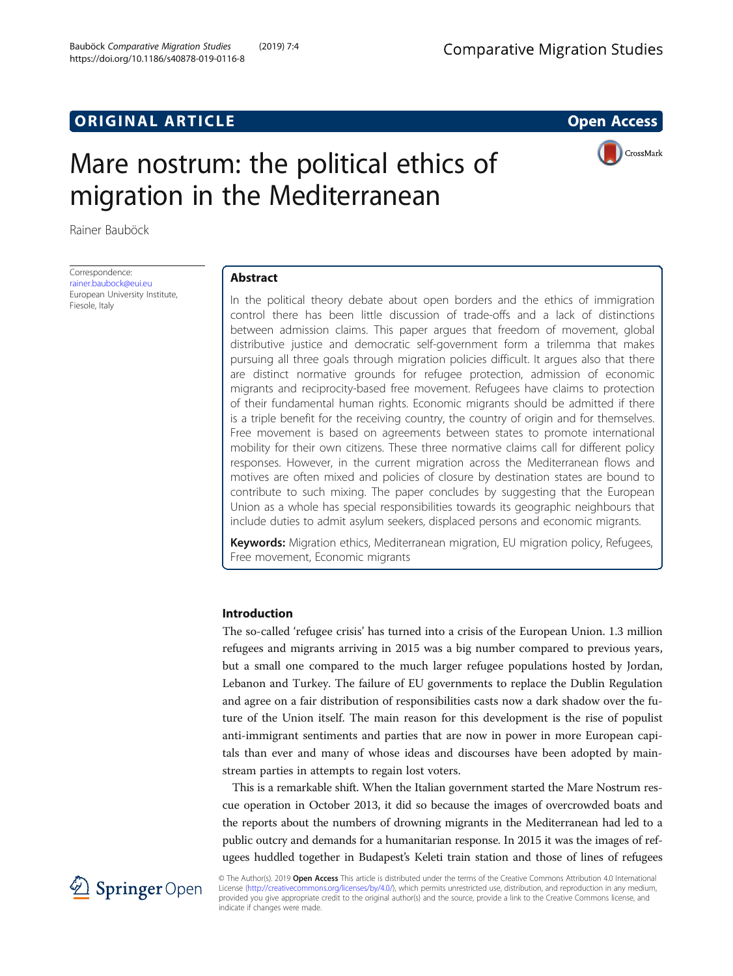CrossMark

# Mare nostrum: the political ethics of migration in the Mediterranean



Correspondence: [rainer.baubock@eui.eu](mailto:rainer.baubock@eui.eu) European University Institute, Fiesole, Italy

## Abstract

In the political theory debate about open borders and the ethics of immigration control there has been little discussion of trade-offs and a lack of distinctions between admission claims. This paper argues that freedom of movement, global distributive justice and democratic self-government form a trilemma that makes pursuing all three goals through migration policies difficult. It argues also that there are distinct normative grounds for refugee protection, admission of economic migrants and reciprocity-based free movement. Refugees have claims to protection of their fundamental human rights. Economic migrants should be admitted if there is a triple benefit for the receiving country, the country of origin and for themselves. Free movement is based on agreements between states to promote international mobility for their own citizens. These three normative claims call for different policy responses. However, in the current migration across the Mediterranean flows and motives are often mixed and policies of closure by destination states are bound to contribute to such mixing. The paper concludes by suggesting that the European Union as a whole has special responsibilities towards its geographic neighbours that include duties to admit asylum seekers, displaced persons and economic migrants.

**Keywords:** Migration ethics, Mediterranean migration, EU migration policy, Refugees, Free movement, Economic migrants

# Introduction

The so-called 'refugee crisis' has turned into a crisis of the European Union. 1.3 million refugees and migrants arriving in 2015 was a big number compared to previous years, but a small one compared to the much larger refugee populations hosted by Jordan, Lebanon and Turkey. The failure of EU governments to replace the Dublin Regulation and agree on a fair distribution of responsibilities casts now a dark shadow over the future of the Union itself. The main reason for this development is the rise of populist anti-immigrant sentiments and parties that are now in power in more European capitals than ever and many of whose ideas and discourses have been adopted by mainstream parties in attempts to regain lost voters.

This is a remarkable shift. When the Italian government started the Mare Nostrum rescue operation in October 2013, it did so because the images of overcrowded boats and the reports about the numbers of drowning migrants in the Mediterranean had led to a public outcry and demands for a humanitarian response. In 2015 it was the images of refugees huddled together in Budapest's Keleti train station and those of lines of refugees



© The Author(s). 2019 Open Access This article is distributed under the terms of the Creative Commons Attribution 4.0 International License [\(http://creativecommons.org/licenses/by/4.0/](http://creativecommons.org/licenses/by/4.0/)), which permits unrestricted use, distribution, and reproduction in any medium, provided you give appropriate credit to the original author(s) and the source, provide a link to the Creative Commons license, and indicate if changes were made.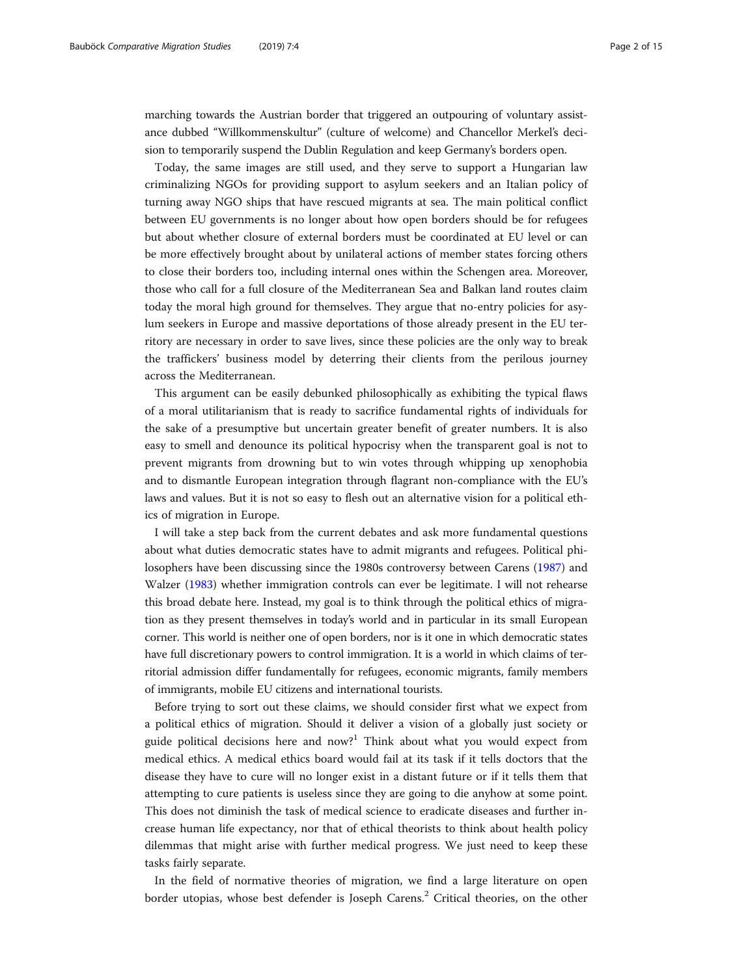marching towards the Austrian border that triggered an outpouring of voluntary assistance dubbed "Willkommenskultur" (culture of welcome) and Chancellor Merkel's decision to temporarily suspend the Dublin Regulation and keep Germany's borders open.

Today, the same images are still used, and they serve to support a Hungarian law criminalizing NGOs for providing support to asylum seekers and an Italian policy of turning away NGO ships that have rescued migrants at sea. The main political conflict between EU governments is no longer about how open borders should be for refugees but about whether closure of external borders must be coordinated at EU level or can be more effectively brought about by unilateral actions of member states forcing others to close their borders too, including internal ones within the Schengen area. Moreover, those who call for a full closure of the Mediterranean Sea and Balkan land routes claim today the moral high ground for themselves. They argue that no-entry policies for asylum seekers in Europe and massive deportations of those already present in the EU territory are necessary in order to save lives, since these policies are the only way to break the traffickers' business model by deterring their clients from the perilous journey across the Mediterranean.

This argument can be easily debunked philosophically as exhibiting the typical flaws of a moral utilitarianism that is ready to sacrifice fundamental rights of individuals for the sake of a presumptive but uncertain greater benefit of greater numbers. It is also easy to smell and denounce its political hypocrisy when the transparent goal is not to prevent migrants from drowning but to win votes through whipping up xenophobia and to dismantle European integration through flagrant non-compliance with the EU's laws and values. But it is not so easy to flesh out an alternative vision for a political ethics of migration in Europe.

I will take a step back from the current debates and ask more fundamental questions about what duties democratic states have to admit migrants and refugees. Political philosophers have been discussing since the 1980s controversy between Carens ([1987](#page-14-0)) and Walzer ([1983](#page-14-0)) whether immigration controls can ever be legitimate. I will not rehearse this broad debate here. Instead, my goal is to think through the political ethics of migration as they present themselves in today's world and in particular in its small European corner. This world is neither one of open borders, nor is it one in which democratic states have full discretionary powers to control immigration. It is a world in which claims of territorial admission differ fundamentally for refugees, economic migrants, family members of immigrants, mobile EU citizens and international tourists.

Before trying to sort out these claims, we should consider first what we expect from a political ethics of migration. Should it deliver a vision of a globally just society or guide political decisions here and now?<sup>1</sup> Think about what you would expect from medical ethics. A medical ethics board would fail at its task if it tells doctors that the disease they have to cure will no longer exist in a distant future or if it tells them that attempting to cure patients is useless since they are going to die anyhow at some point. This does not diminish the task of medical science to eradicate diseases and further increase human life expectancy, nor that of ethical theorists to think about health policy dilemmas that might arise with further medical progress. We just need to keep these tasks fairly separate.

In the field of normative theories of migration, we find a large literature on open border utopias, whose best defender is Joseph Carens.<sup>2</sup> Critical theories, on the other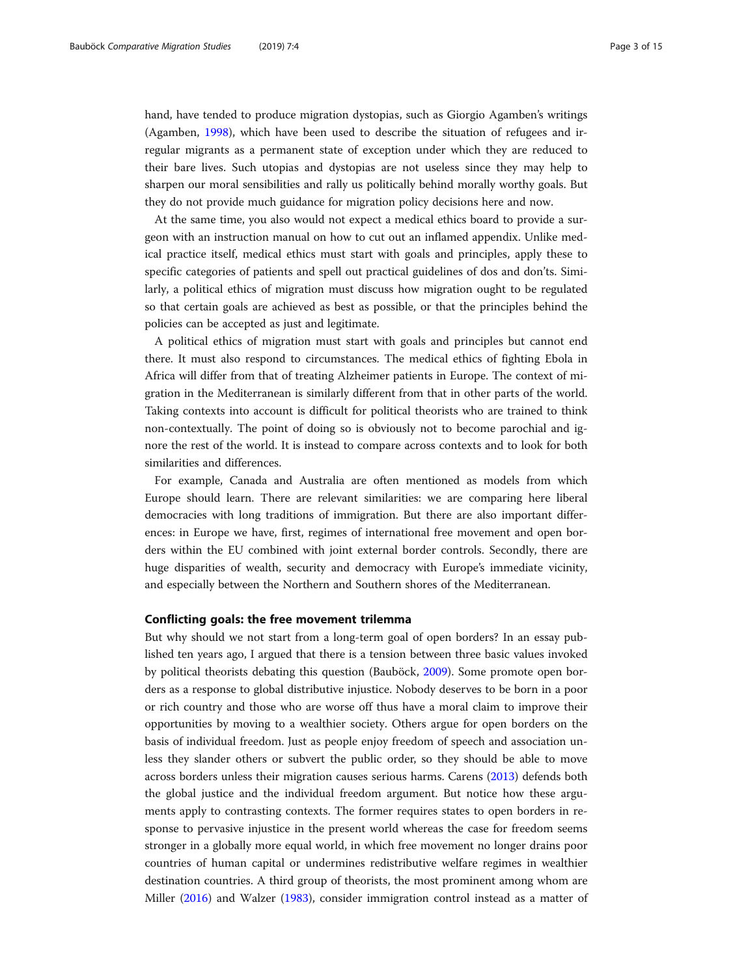hand, have tended to produce migration dystopias, such as Giorgio Agamben's writings (Agamben, [1998\)](#page-14-0), which have been used to describe the situation of refugees and irregular migrants as a permanent state of exception under which they are reduced to their bare lives. Such utopias and dystopias are not useless since they may help to sharpen our moral sensibilities and rally us politically behind morally worthy goals. But they do not provide much guidance for migration policy decisions here and now.

At the same time, you also would not expect a medical ethics board to provide a surgeon with an instruction manual on how to cut out an inflamed appendix. Unlike medical practice itself, medical ethics must start with goals and principles, apply these to specific categories of patients and spell out practical guidelines of dos and don'ts. Similarly, a political ethics of migration must discuss how migration ought to be regulated so that certain goals are achieved as best as possible, or that the principles behind the policies can be accepted as just and legitimate.

A political ethics of migration must start with goals and principles but cannot end there. It must also respond to circumstances. The medical ethics of fighting Ebola in Africa will differ from that of treating Alzheimer patients in Europe. The context of migration in the Mediterranean is similarly different from that in other parts of the world. Taking contexts into account is difficult for political theorists who are trained to think non-contextually. The point of doing so is obviously not to become parochial and ignore the rest of the world. It is instead to compare across contexts and to look for both similarities and differences.

For example, Canada and Australia are often mentioned as models from which Europe should learn. There are relevant similarities: we are comparing here liberal democracies with long traditions of immigration. But there are also important differences: in Europe we have, first, regimes of international free movement and open borders within the EU combined with joint external border controls. Secondly, there are huge disparities of wealth, security and democracy with Europe's immediate vicinity, and especially between the Northern and Southern shores of the Mediterranean.

#### Conflicting goals: the free movement trilemma

But why should we not start from a long-term goal of open borders? In an essay published ten years ago, I argued that there is a tension between three basic values invoked by political theorists debating this question (Bauböck, [2009\)](#page-14-0). Some promote open borders as a response to global distributive injustice. Nobody deserves to be born in a poor or rich country and those who are worse off thus have a moral claim to improve their opportunities by moving to a wealthier society. Others argue for open borders on the basis of individual freedom. Just as people enjoy freedom of speech and association unless they slander others or subvert the public order, so they should be able to move across borders unless their migration causes serious harms. Carens ([2013](#page-14-0)) defends both the global justice and the individual freedom argument. But notice how these arguments apply to contrasting contexts. The former requires states to open borders in response to pervasive injustice in the present world whereas the case for freedom seems stronger in a globally more equal world, in which free movement no longer drains poor countries of human capital or undermines redistributive welfare regimes in wealthier destination countries. A third group of theorists, the most prominent among whom are Miller [\(2016](#page-14-0)) and Walzer [\(1983\)](#page-14-0), consider immigration control instead as a matter of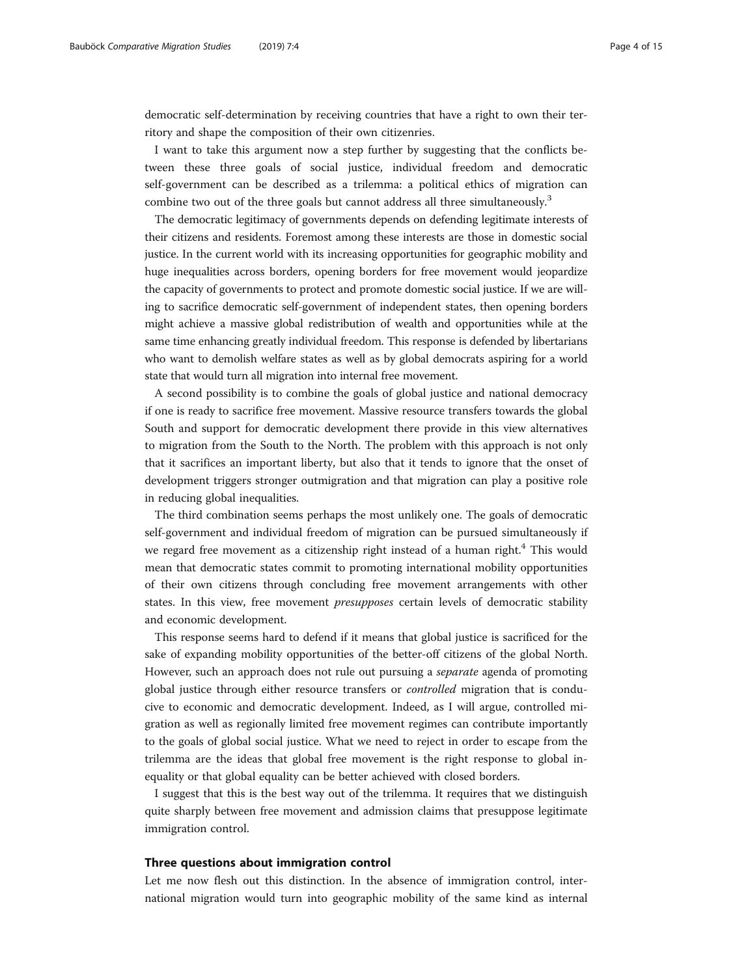democratic self-determination by receiving countries that have a right to own their territory and shape the composition of their own citizenries.

I want to take this argument now a step further by suggesting that the conflicts between these three goals of social justice, individual freedom and democratic self-government can be described as a trilemma: a political ethics of migration can combine two out of the three goals but cannot address all three simultaneously.<sup>3</sup>

The democratic legitimacy of governments depends on defending legitimate interests of their citizens and residents. Foremost among these interests are those in domestic social justice. In the current world with its increasing opportunities for geographic mobility and huge inequalities across borders, opening borders for free movement would jeopardize the capacity of governments to protect and promote domestic social justice. If we are willing to sacrifice democratic self-government of independent states, then opening borders might achieve a massive global redistribution of wealth and opportunities while at the same time enhancing greatly individual freedom. This response is defended by libertarians who want to demolish welfare states as well as by global democrats aspiring for a world state that would turn all migration into internal free movement.

A second possibility is to combine the goals of global justice and national democracy if one is ready to sacrifice free movement. Massive resource transfers towards the global South and support for democratic development there provide in this view alternatives to migration from the South to the North. The problem with this approach is not only that it sacrifices an important liberty, but also that it tends to ignore that the onset of development triggers stronger outmigration and that migration can play a positive role in reducing global inequalities.

The third combination seems perhaps the most unlikely one. The goals of democratic self-government and individual freedom of migration can be pursued simultaneously if we regard free movement as a citizenship right instead of a human right.<sup>4</sup> This would mean that democratic states commit to promoting international mobility opportunities of their own citizens through concluding free movement arrangements with other states. In this view, free movement presupposes certain levels of democratic stability and economic development.

This response seems hard to defend if it means that global justice is sacrificed for the sake of expanding mobility opportunities of the better-off citizens of the global North. However, such an approach does not rule out pursuing a *separate* agenda of promoting global justice through either resource transfers or controlled migration that is conducive to economic and democratic development. Indeed, as I will argue, controlled migration as well as regionally limited free movement regimes can contribute importantly to the goals of global social justice. What we need to reject in order to escape from the trilemma are the ideas that global free movement is the right response to global inequality or that global equality can be better achieved with closed borders.

I suggest that this is the best way out of the trilemma. It requires that we distinguish quite sharply between free movement and admission claims that presuppose legitimate immigration control.

## Three questions about immigration control

Let me now flesh out this distinction. In the absence of immigration control, international migration would turn into geographic mobility of the same kind as internal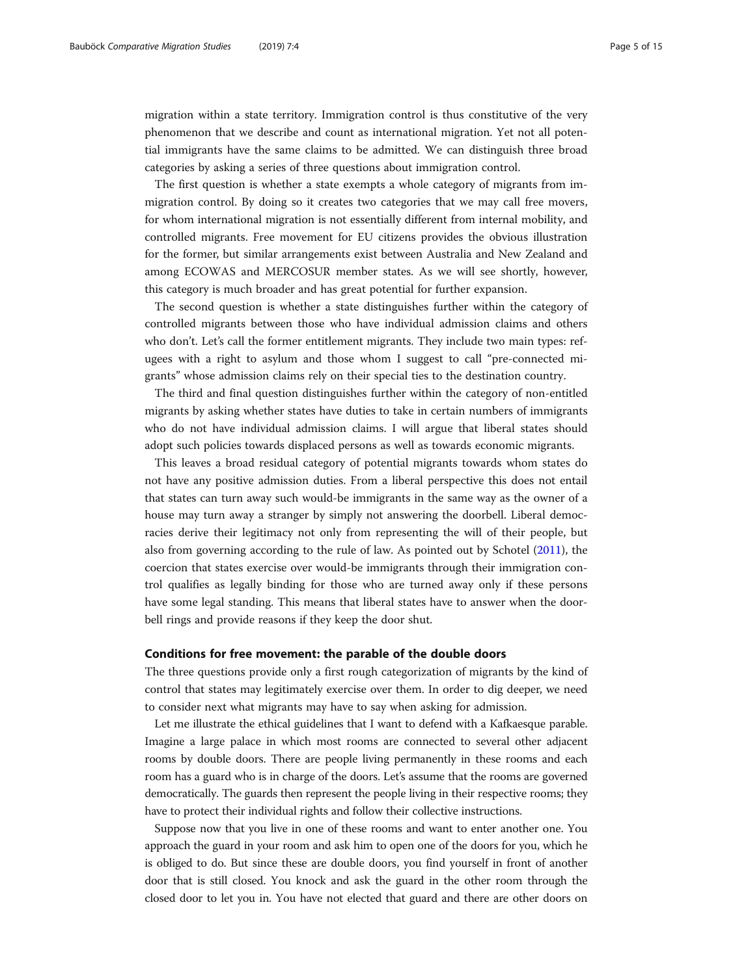migration within a state territory. Immigration control is thus constitutive of the very phenomenon that we describe and count as international migration. Yet not all potential immigrants have the same claims to be admitted. We can distinguish three broad categories by asking a series of three questions about immigration control.

The first question is whether a state exempts a whole category of migrants from immigration control. By doing so it creates two categories that we may call free movers, for whom international migration is not essentially different from internal mobility, and controlled migrants. Free movement for EU citizens provides the obvious illustration for the former, but similar arrangements exist between Australia and New Zealand and among ECOWAS and MERCOSUR member states. As we will see shortly, however, this category is much broader and has great potential for further expansion.

The second question is whether a state distinguishes further within the category of controlled migrants between those who have individual admission claims and others who don't. Let's call the former entitlement migrants. They include two main types: refugees with a right to asylum and those whom I suggest to call "pre-connected migrants" whose admission claims rely on their special ties to the destination country.

The third and final question distinguishes further within the category of non-entitled migrants by asking whether states have duties to take in certain numbers of immigrants who do not have individual admission claims. I will argue that liberal states should adopt such policies towards displaced persons as well as towards economic migrants.

This leaves a broad residual category of potential migrants towards whom states do not have any positive admission duties. From a liberal perspective this does not entail that states can turn away such would-be immigrants in the same way as the owner of a house may turn away a stranger by simply not answering the doorbell. Liberal democracies derive their legitimacy not only from representing the will of their people, but also from governing according to the rule of law. As pointed out by Schotel ([2011](#page-14-0)), the coercion that states exercise over would-be immigrants through their immigration control qualifies as legally binding for those who are turned away only if these persons have some legal standing. This means that liberal states have to answer when the doorbell rings and provide reasons if they keep the door shut.

## Conditions for free movement: the parable of the double doors

The three questions provide only a first rough categorization of migrants by the kind of control that states may legitimately exercise over them. In order to dig deeper, we need to consider next what migrants may have to say when asking for admission.

Let me illustrate the ethical guidelines that I want to defend with a Kafkaesque parable. Imagine a large palace in which most rooms are connected to several other adjacent rooms by double doors. There are people living permanently in these rooms and each room has a guard who is in charge of the doors. Let's assume that the rooms are governed democratically. The guards then represent the people living in their respective rooms; they have to protect their individual rights and follow their collective instructions.

Suppose now that you live in one of these rooms and want to enter another one. You approach the guard in your room and ask him to open one of the doors for you, which he is obliged to do. But since these are double doors, you find yourself in front of another door that is still closed. You knock and ask the guard in the other room through the closed door to let you in. You have not elected that guard and there are other doors on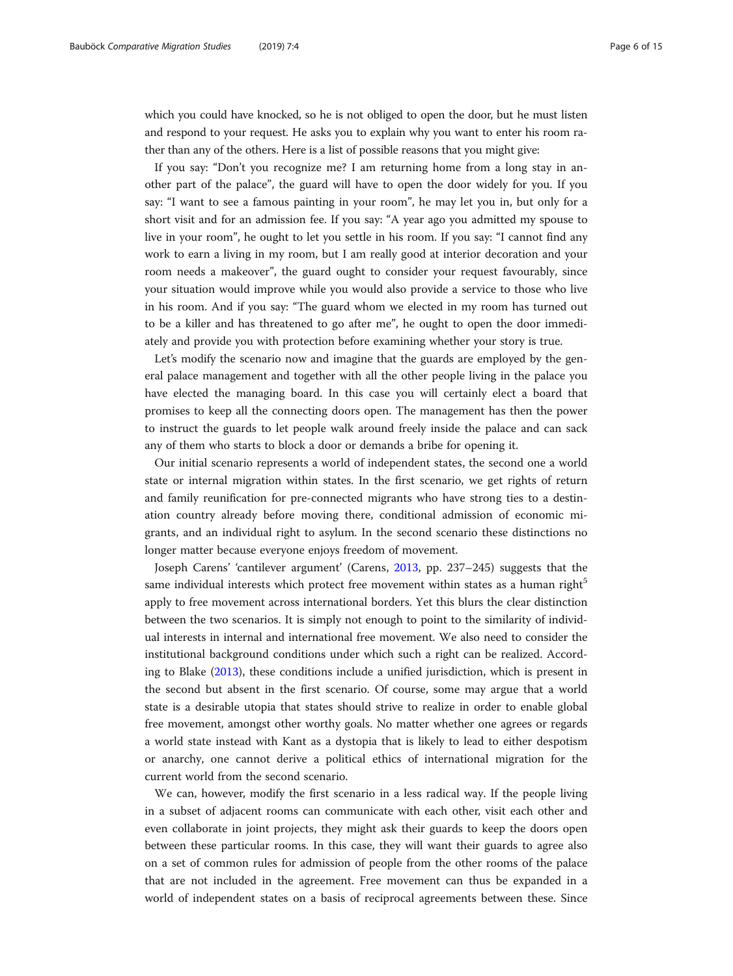which you could have knocked, so he is not obliged to open the door, but he must listen and respond to your request. He asks you to explain why you want to enter his room rather than any of the others. Here is a list of possible reasons that you might give:

If you say: "Don't you recognize me? I am returning home from a long stay in another part of the palace", the guard will have to open the door widely for you. If you say: "I want to see a famous painting in your room", he may let you in, but only for a short visit and for an admission fee. If you say: "A year ago you admitted my spouse to live in your room", he ought to let you settle in his room. If you say: "I cannot find any work to earn a living in my room, but I am really good at interior decoration and your room needs a makeover", the guard ought to consider your request favourably, since your situation would improve while you would also provide a service to those who live in his room. And if you say: "The guard whom we elected in my room has turned out to be a killer and has threatened to go after me", he ought to open the door immediately and provide you with protection before examining whether your story is true.

Let's modify the scenario now and imagine that the guards are employed by the general palace management and together with all the other people living in the palace you have elected the managing board. In this case you will certainly elect a board that promises to keep all the connecting doors open. The management has then the power to instruct the guards to let people walk around freely inside the palace and can sack any of them who starts to block a door or demands a bribe for opening it.

Our initial scenario represents a world of independent states, the second one a world state or internal migration within states. In the first scenario, we get rights of return and family reunification for pre-connected migrants who have strong ties to a destination country already before moving there, conditional admission of economic migrants, and an individual right to asylum. In the second scenario these distinctions no longer matter because everyone enjoys freedom of movement.

Joseph Carens' 'cantilever argument' (Carens, [2013](#page-14-0), pp. 237–245) suggests that the same individual interests which protect free movement within states as a human right<sup>5</sup> apply to free movement across international borders. Yet this blurs the clear distinction between the two scenarios. It is simply not enough to point to the similarity of individual interests in internal and international free movement. We also need to consider the institutional background conditions under which such a right can be realized. According to Blake [\(2013\)](#page-14-0), these conditions include a unified jurisdiction, which is present in the second but absent in the first scenario. Of course, some may argue that a world state is a desirable utopia that states should strive to realize in order to enable global free movement, amongst other worthy goals. No matter whether one agrees or regards a world state instead with Kant as a dystopia that is likely to lead to either despotism or anarchy, one cannot derive a political ethics of international migration for the current world from the second scenario.

We can, however, modify the first scenario in a less radical way. If the people living in a subset of adjacent rooms can communicate with each other, visit each other and even collaborate in joint projects, they might ask their guards to keep the doors open between these particular rooms. In this case, they will want their guards to agree also on a set of common rules for admission of people from the other rooms of the palace that are not included in the agreement. Free movement can thus be expanded in a world of independent states on a basis of reciprocal agreements between these. Since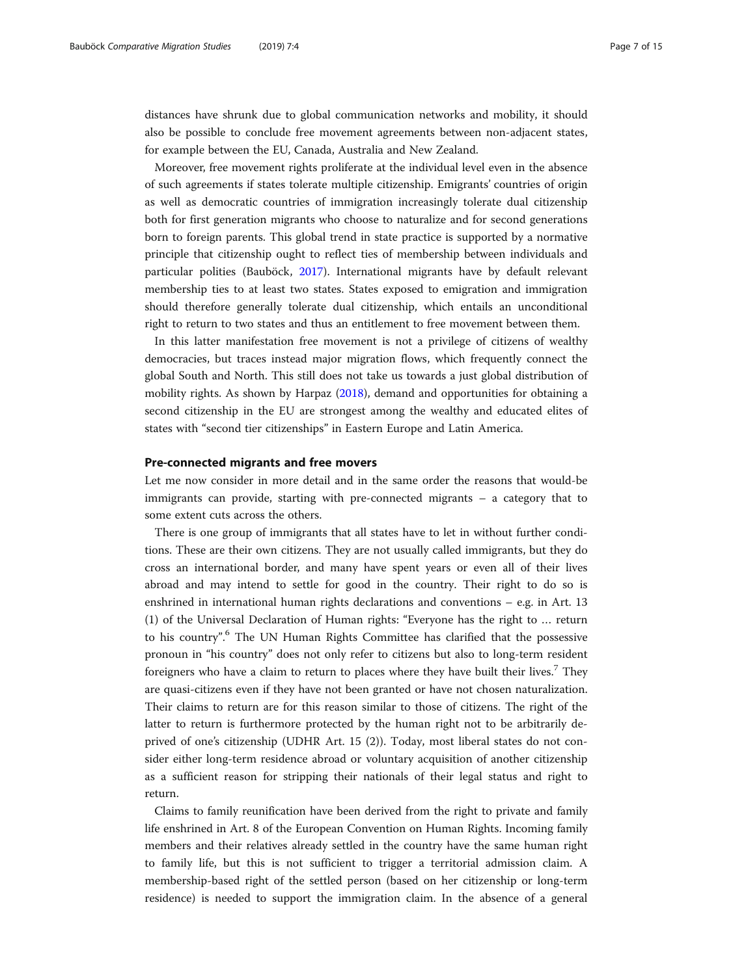distances have shrunk due to global communication networks and mobility, it should also be possible to conclude free movement agreements between non-adjacent states, for example between the EU, Canada, Australia and New Zealand.

Moreover, free movement rights proliferate at the individual level even in the absence of such agreements if states tolerate multiple citizenship. Emigrants' countries of origin as well as democratic countries of immigration increasingly tolerate dual citizenship both for first generation migrants who choose to naturalize and for second generations born to foreign parents. This global trend in state practice is supported by a normative principle that citizenship ought to reflect ties of membership between individuals and particular polities (Bauböck, [2017\)](#page-14-0). International migrants have by default relevant membership ties to at least two states. States exposed to emigration and immigration should therefore generally tolerate dual citizenship, which entails an unconditional right to return to two states and thus an entitlement to free movement between them.

In this latter manifestation free movement is not a privilege of citizens of wealthy democracies, but traces instead major migration flows, which frequently connect the global South and North. This still does not take us towards a just global distribution of mobility rights. As shown by Harpaz ([2018\)](#page-14-0), demand and opportunities for obtaining a second citizenship in the EU are strongest among the wealthy and educated elites of states with "second tier citizenships" in Eastern Europe and Latin America.

## Pre-connected migrants and free movers

Let me now consider in more detail and in the same order the reasons that would-be immigrants can provide, starting with pre-connected migrants – a category that to some extent cuts across the others.

There is one group of immigrants that all states have to let in without further conditions. These are their own citizens. They are not usually called immigrants, but they do cross an international border, and many have spent years or even all of their lives abroad and may intend to settle for good in the country. Their right to do so is enshrined in international human rights declarations and conventions – e.g. in Art. 13 (1) of the Universal Declaration of Human rights: "Everyone has the right to … return to his country". <sup>6</sup> The UN Human Rights Committee has clarified that the possessive pronoun in "his country" does not only refer to citizens but also to long-term resident foreigners who have a claim to return to places where they have built their lives.<sup>7</sup> They are quasi-citizens even if they have not been granted or have not chosen naturalization. Their claims to return are for this reason similar to those of citizens. The right of the latter to return is furthermore protected by the human right not to be arbitrarily deprived of one's citizenship (UDHR Art. 15 (2)). Today, most liberal states do not consider either long-term residence abroad or voluntary acquisition of another citizenship as a sufficient reason for stripping their nationals of their legal status and right to return.

Claims to family reunification have been derived from the right to private and family life enshrined in Art. 8 of the European Convention on Human Rights. Incoming family members and their relatives already settled in the country have the same human right to family life, but this is not sufficient to trigger a territorial admission claim. A membership-based right of the settled person (based on her citizenship or long-term residence) is needed to support the immigration claim. In the absence of a general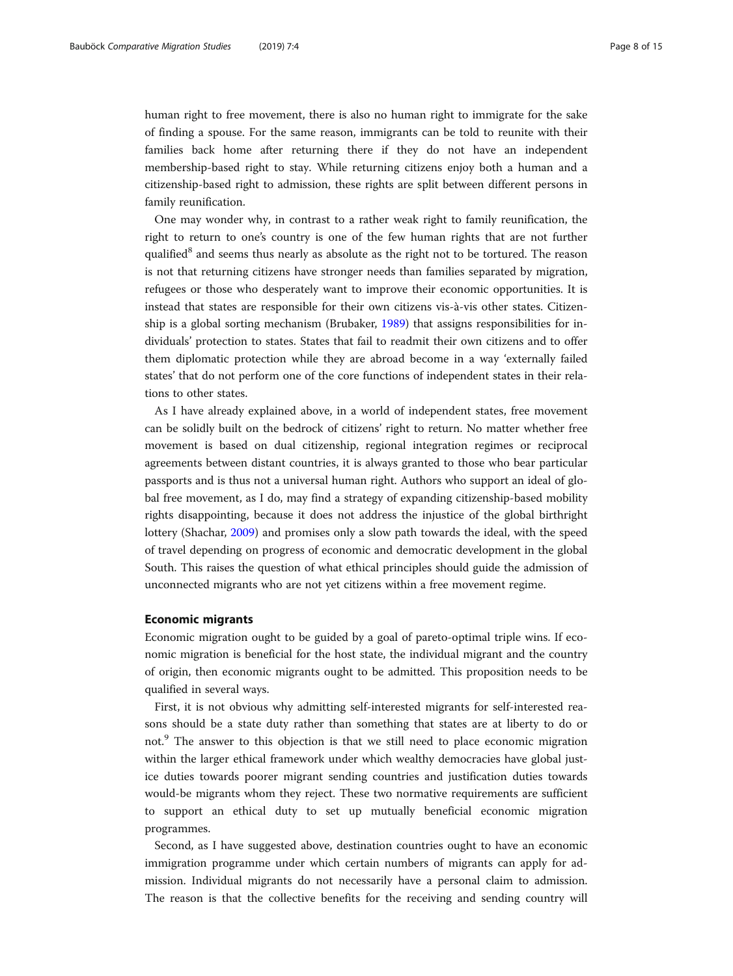human right to free movement, there is also no human right to immigrate for the sake of finding a spouse. For the same reason, immigrants can be told to reunite with their families back home after returning there if they do not have an independent membership-based right to stay. While returning citizens enjoy both a human and a citizenship-based right to admission, these rights are split between different persons in family reunification.

One may wonder why, in contrast to a rather weak right to family reunification, the right to return to one's country is one of the few human rights that are not further qualified<sup>8</sup> and seems thus nearly as absolute as the right not to be tortured. The reason is not that returning citizens have stronger needs than families separated by migration, refugees or those who desperately want to improve their economic opportunities. It is instead that states are responsible for their own citizens vis-à-vis other states. Citizenship is a global sorting mechanism (Brubaker, [1989](#page-14-0)) that assigns responsibilities for individuals' protection to states. States that fail to readmit their own citizens and to offer them diplomatic protection while they are abroad become in a way 'externally failed states' that do not perform one of the core functions of independent states in their relations to other states.

As I have already explained above, in a world of independent states, free movement can be solidly built on the bedrock of citizens' right to return. No matter whether free movement is based on dual citizenship, regional integration regimes or reciprocal agreements between distant countries, it is always granted to those who bear particular passports and is thus not a universal human right. Authors who support an ideal of global free movement, as I do, may find a strategy of expanding citizenship-based mobility rights disappointing, because it does not address the injustice of the global birthright lottery (Shachar, [2009](#page-14-0)) and promises only a slow path towards the ideal, with the speed of travel depending on progress of economic and democratic development in the global South. This raises the question of what ethical principles should guide the admission of unconnected migrants who are not yet citizens within a free movement regime.

## Economic migrants

Economic migration ought to be guided by a goal of pareto-optimal triple wins. If economic migration is beneficial for the host state, the individual migrant and the country of origin, then economic migrants ought to be admitted. This proposition needs to be qualified in several ways.

First, it is not obvious why admitting self-interested migrants for self-interested reasons should be a state duty rather than something that states are at liberty to do or not.<sup>9</sup> The answer to this objection is that we still need to place economic migration within the larger ethical framework under which wealthy democracies have global justice duties towards poorer migrant sending countries and justification duties towards would-be migrants whom they reject. These two normative requirements are sufficient to support an ethical duty to set up mutually beneficial economic migration programmes.

Second, as I have suggested above, destination countries ought to have an economic immigration programme under which certain numbers of migrants can apply for admission. Individual migrants do not necessarily have a personal claim to admission. The reason is that the collective benefits for the receiving and sending country will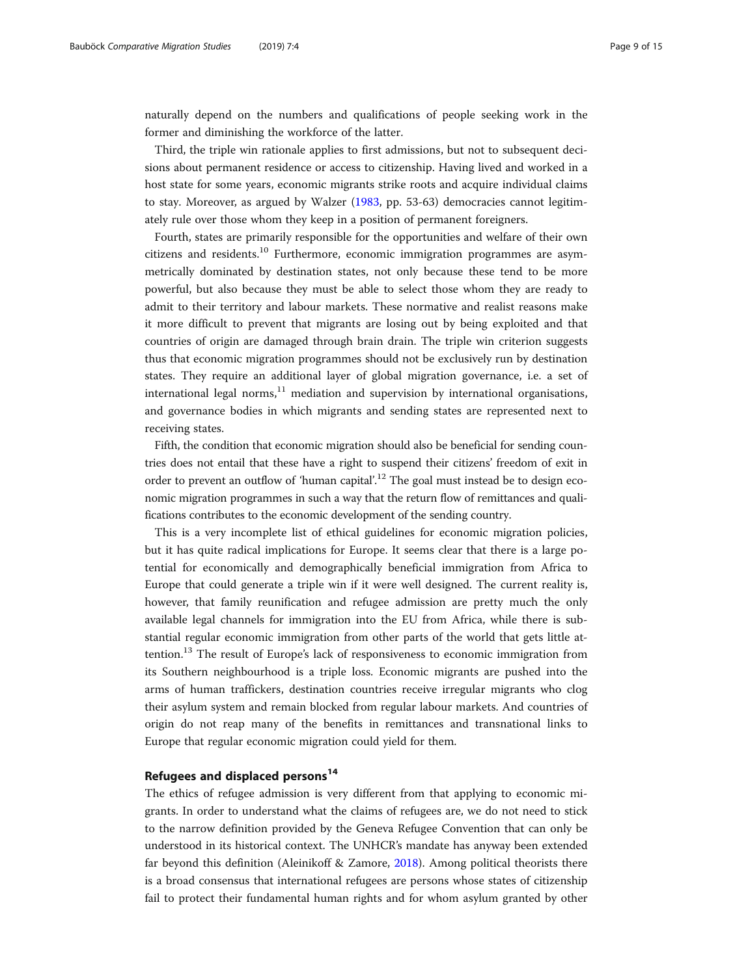naturally depend on the numbers and qualifications of people seeking work in the former and diminishing the workforce of the latter.

Third, the triple win rationale applies to first admissions, but not to subsequent decisions about permanent residence or access to citizenship. Having lived and worked in a host state for some years, economic migrants strike roots and acquire individual claims to stay. Moreover, as argued by Walzer ([1983](#page-14-0), pp. 53-63) democracies cannot legitimately rule over those whom they keep in a position of permanent foreigners.

Fourth, states are primarily responsible for the opportunities and welfare of their own citizens and residents.<sup>10</sup> Furthermore, economic immigration programmes are asymmetrically dominated by destination states, not only because these tend to be more powerful, but also because they must be able to select those whom they are ready to admit to their territory and labour markets. These normative and realist reasons make it more difficult to prevent that migrants are losing out by being exploited and that countries of origin are damaged through brain drain. The triple win criterion suggests thus that economic migration programmes should not be exclusively run by destination states. They require an additional layer of global migration governance, i.e. a set of international legal norms, $11$  mediation and supervision by international organisations, and governance bodies in which migrants and sending states are represented next to receiving states.

Fifth, the condition that economic migration should also be beneficial for sending countries does not entail that these have a right to suspend their citizens' freedom of exit in order to prevent an outflow of 'human capital'.<sup>12</sup> The goal must instead be to design economic migration programmes in such a way that the return flow of remittances and qualifications contributes to the economic development of the sending country.

This is a very incomplete list of ethical guidelines for economic migration policies, but it has quite radical implications for Europe. It seems clear that there is a large potential for economically and demographically beneficial immigration from Africa to Europe that could generate a triple win if it were well designed. The current reality is, however, that family reunification and refugee admission are pretty much the only available legal channels for immigration into the EU from Africa, while there is substantial regular economic immigration from other parts of the world that gets little attention.<sup>13</sup> The result of Europe's lack of responsiveness to economic immigration from its Southern neighbourhood is a triple loss. Economic migrants are pushed into the arms of human traffickers, destination countries receive irregular migrants who clog their asylum system and remain blocked from regular labour markets. And countries of origin do not reap many of the benefits in remittances and transnational links to Europe that regular economic migration could yield for them.

# Refugees and displaced persons<sup>14</sup>

The ethics of refugee admission is very different from that applying to economic migrants. In order to understand what the claims of refugees are, we do not need to stick to the narrow definition provided by the Geneva Refugee Convention that can only be understood in its historical context. The UNHCR's mandate has anyway been extended far beyond this definition (Aleinikoff & Zamore, [2018](#page-14-0)). Among political theorists there is a broad consensus that international refugees are persons whose states of citizenship fail to protect their fundamental human rights and for whom asylum granted by other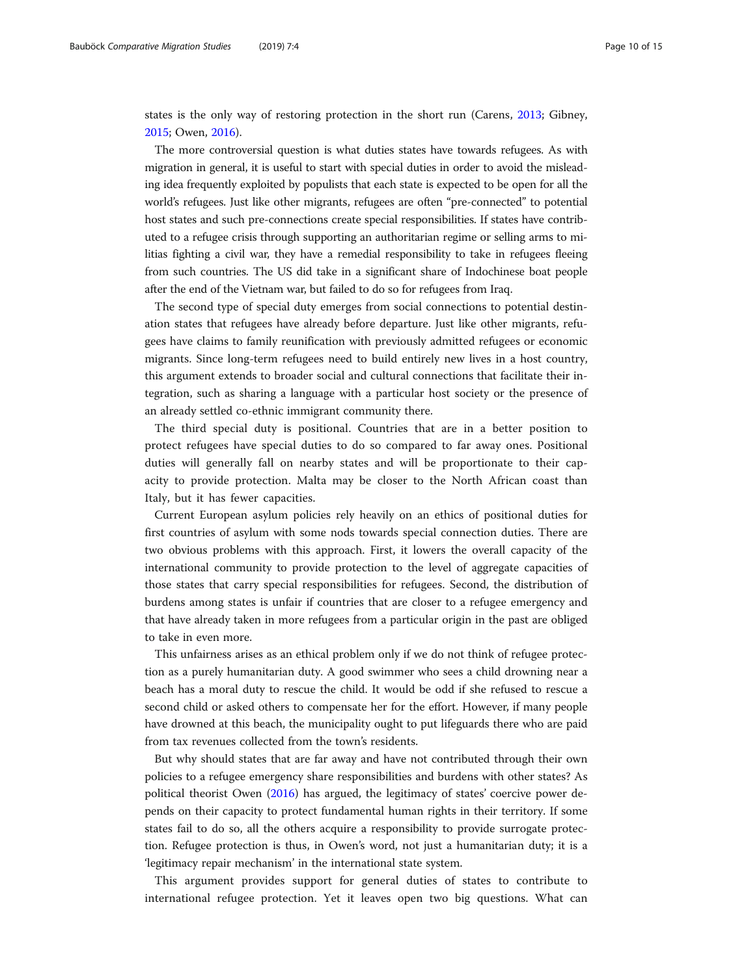states is the only way of restoring protection in the short run (Carens, [2013](#page-14-0); Gibney, [2015](#page-14-0); Owen, [2016](#page-14-0)).

The more controversial question is what duties states have towards refugees. As with migration in general, it is useful to start with special duties in order to avoid the misleading idea frequently exploited by populists that each state is expected to be open for all the world's refugees. Just like other migrants, refugees are often "pre-connected" to potential host states and such pre-connections create special responsibilities. If states have contributed to a refugee crisis through supporting an authoritarian regime or selling arms to militias fighting a civil war, they have a remedial responsibility to take in refugees fleeing from such countries. The US did take in a significant share of Indochinese boat people after the end of the Vietnam war, but failed to do so for refugees from Iraq.

The second type of special duty emerges from social connections to potential destination states that refugees have already before departure. Just like other migrants, refugees have claims to family reunification with previously admitted refugees or economic migrants. Since long-term refugees need to build entirely new lives in a host country, this argument extends to broader social and cultural connections that facilitate their integration, such as sharing a language with a particular host society or the presence of an already settled co-ethnic immigrant community there.

The third special duty is positional. Countries that are in a better position to protect refugees have special duties to do so compared to far away ones. Positional duties will generally fall on nearby states and will be proportionate to their capacity to provide protection. Malta may be closer to the North African coast than Italy, but it has fewer capacities.

Current European asylum policies rely heavily on an ethics of positional duties for first countries of asylum with some nods towards special connection duties. There are two obvious problems with this approach. First, it lowers the overall capacity of the international community to provide protection to the level of aggregate capacities of those states that carry special responsibilities for refugees. Second, the distribution of burdens among states is unfair if countries that are closer to a refugee emergency and that have already taken in more refugees from a particular origin in the past are obliged to take in even more.

This unfairness arises as an ethical problem only if we do not think of refugee protection as a purely humanitarian duty. A good swimmer who sees a child drowning near a beach has a moral duty to rescue the child. It would be odd if she refused to rescue a second child or asked others to compensate her for the effort. However, if many people have drowned at this beach, the municipality ought to put lifeguards there who are paid from tax revenues collected from the town's residents.

But why should states that are far away and have not contributed through their own policies to a refugee emergency share responsibilities and burdens with other states? As political theorist Owen ([2016\)](#page-14-0) has argued, the legitimacy of states' coercive power depends on their capacity to protect fundamental human rights in their territory. If some states fail to do so, all the others acquire a responsibility to provide surrogate protection. Refugee protection is thus, in Owen's word, not just a humanitarian duty; it is a 'legitimacy repair mechanism' in the international state system.

This argument provides support for general duties of states to contribute to international refugee protection. Yet it leaves open two big questions. What can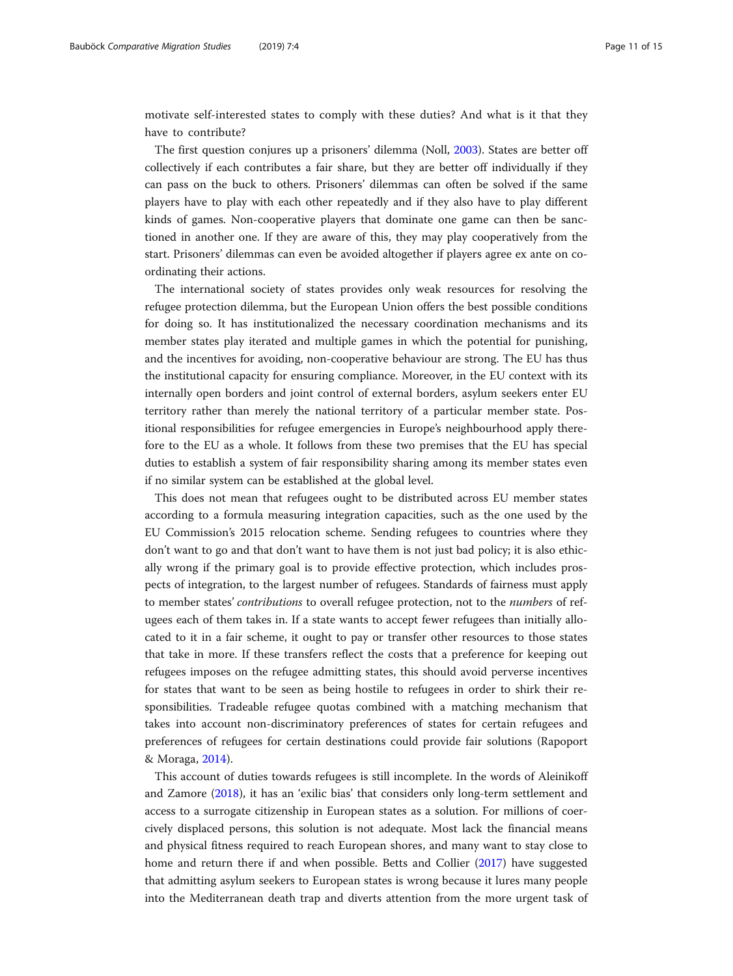motivate self-interested states to comply with these duties? And what is it that they have to contribute?

The first question conjures up a prisoners' dilemma (Noll, [2003](#page-14-0)). States are better off collectively if each contributes a fair share, but they are better off individually if they can pass on the buck to others. Prisoners' dilemmas can often be solved if the same players have to play with each other repeatedly and if they also have to play different kinds of games. Non-cooperative players that dominate one game can then be sanctioned in another one. If they are aware of this, they may play cooperatively from the start. Prisoners' dilemmas can even be avoided altogether if players agree ex ante on coordinating their actions.

The international society of states provides only weak resources for resolving the refugee protection dilemma, but the European Union offers the best possible conditions for doing so. It has institutionalized the necessary coordination mechanisms and its member states play iterated and multiple games in which the potential for punishing, and the incentives for avoiding, non-cooperative behaviour are strong. The EU has thus the institutional capacity for ensuring compliance. Moreover, in the EU context with its internally open borders and joint control of external borders, asylum seekers enter EU territory rather than merely the national territory of a particular member state. Positional responsibilities for refugee emergencies in Europe's neighbourhood apply therefore to the EU as a whole. It follows from these two premises that the EU has special duties to establish a system of fair responsibility sharing among its member states even if no similar system can be established at the global level.

This does not mean that refugees ought to be distributed across EU member states according to a formula measuring integration capacities, such as the one used by the EU Commission's 2015 relocation scheme. Sending refugees to countries where they don't want to go and that don't want to have them is not just bad policy; it is also ethically wrong if the primary goal is to provide effective protection, which includes prospects of integration, to the largest number of refugees. Standards of fairness must apply to member states' contributions to overall refugee protection, not to the numbers of refugees each of them takes in. If a state wants to accept fewer refugees than initially allocated to it in a fair scheme, it ought to pay or transfer other resources to those states that take in more. If these transfers reflect the costs that a preference for keeping out refugees imposes on the refugee admitting states, this should avoid perverse incentives for states that want to be seen as being hostile to refugees in order to shirk their responsibilities. Tradeable refugee quotas combined with a matching mechanism that takes into account non-discriminatory preferences of states for certain refugees and preferences of refugees for certain destinations could provide fair solutions (Rapoport & Moraga, [2014](#page-14-0)).

This account of duties towards refugees is still incomplete. In the words of Aleinikoff and Zamore ([2018](#page-14-0)), it has an 'exilic bias' that considers only long-term settlement and access to a surrogate citizenship in European states as a solution. For millions of coercively displaced persons, this solution is not adequate. Most lack the financial means and physical fitness required to reach European shores, and many want to stay close to home and return there if and when possible. Betts and Collier ([2017\)](#page-14-0) have suggested that admitting asylum seekers to European states is wrong because it lures many people into the Mediterranean death trap and diverts attention from the more urgent task of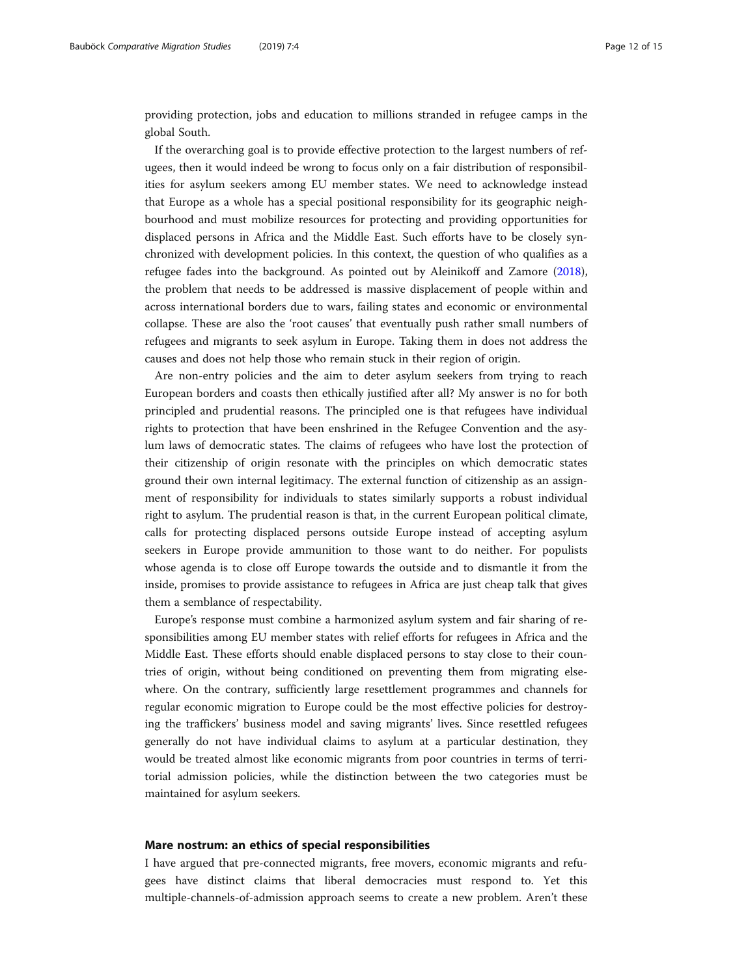providing protection, jobs and education to millions stranded in refugee camps in the global South.

If the overarching goal is to provide effective protection to the largest numbers of refugees, then it would indeed be wrong to focus only on a fair distribution of responsibilities for asylum seekers among EU member states. We need to acknowledge instead that Europe as a whole has a special positional responsibility for its geographic neighbourhood and must mobilize resources for protecting and providing opportunities for displaced persons in Africa and the Middle East. Such efforts have to be closely synchronized with development policies. In this context, the question of who qualifies as a refugee fades into the background. As pointed out by Aleinikoff and Zamore ([2018](#page-14-0)), the problem that needs to be addressed is massive displacement of people within and across international borders due to wars, failing states and economic or environmental collapse. These are also the 'root causes' that eventually push rather small numbers of refugees and migrants to seek asylum in Europe. Taking them in does not address the causes and does not help those who remain stuck in their region of origin.

Are non-entry policies and the aim to deter asylum seekers from trying to reach European borders and coasts then ethically justified after all? My answer is no for both principled and prudential reasons. The principled one is that refugees have individual rights to protection that have been enshrined in the Refugee Convention and the asylum laws of democratic states. The claims of refugees who have lost the protection of their citizenship of origin resonate with the principles on which democratic states ground their own internal legitimacy. The external function of citizenship as an assignment of responsibility for individuals to states similarly supports a robust individual right to asylum. The prudential reason is that, in the current European political climate, calls for protecting displaced persons outside Europe instead of accepting asylum seekers in Europe provide ammunition to those want to do neither. For populists whose agenda is to close off Europe towards the outside and to dismantle it from the inside, promises to provide assistance to refugees in Africa are just cheap talk that gives them a semblance of respectability.

Europe's response must combine a harmonized asylum system and fair sharing of responsibilities among EU member states with relief efforts for refugees in Africa and the Middle East. These efforts should enable displaced persons to stay close to their countries of origin, without being conditioned on preventing them from migrating elsewhere. On the contrary, sufficiently large resettlement programmes and channels for regular economic migration to Europe could be the most effective policies for destroying the traffickers' business model and saving migrants' lives. Since resettled refugees generally do not have individual claims to asylum at a particular destination, they would be treated almost like economic migrants from poor countries in terms of territorial admission policies, while the distinction between the two categories must be maintained for asylum seekers.

#### Mare nostrum: an ethics of special responsibilities

I have argued that pre-connected migrants, free movers, economic migrants and refugees have distinct claims that liberal democracies must respond to. Yet this multiple-channels-of-admission approach seems to create a new problem. Aren't these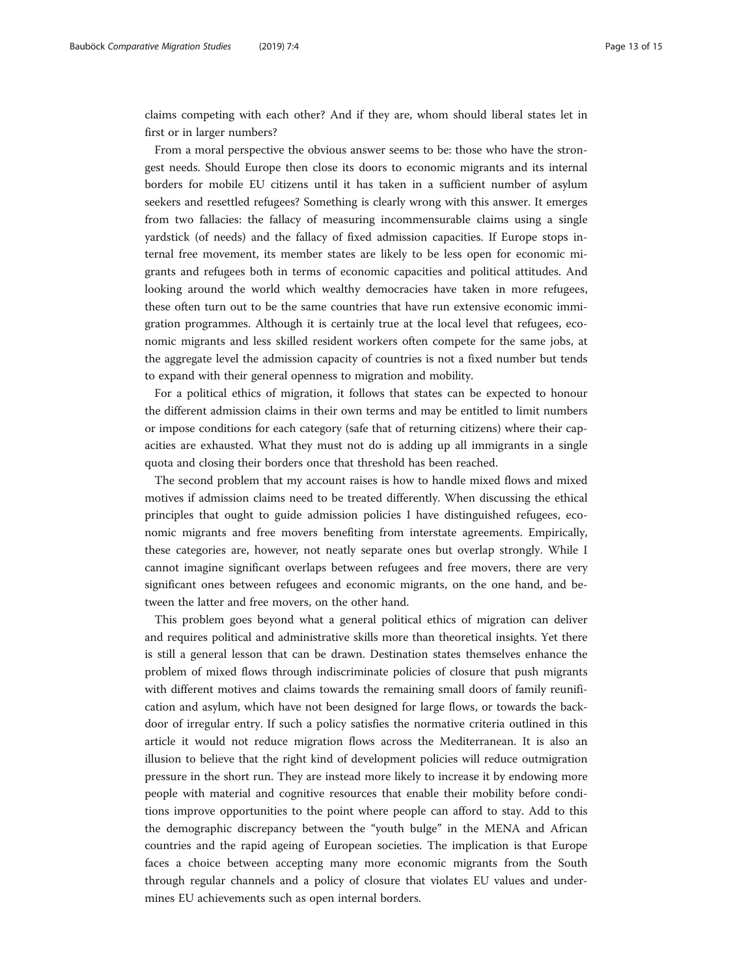claims competing with each other? And if they are, whom should liberal states let in first or in larger numbers?

From a moral perspective the obvious answer seems to be: those who have the strongest needs. Should Europe then close its doors to economic migrants and its internal borders for mobile EU citizens until it has taken in a sufficient number of asylum seekers and resettled refugees? Something is clearly wrong with this answer. It emerges from two fallacies: the fallacy of measuring incommensurable claims using a single yardstick (of needs) and the fallacy of fixed admission capacities. If Europe stops internal free movement, its member states are likely to be less open for economic migrants and refugees both in terms of economic capacities and political attitudes. And looking around the world which wealthy democracies have taken in more refugees, these often turn out to be the same countries that have run extensive economic immigration programmes. Although it is certainly true at the local level that refugees, economic migrants and less skilled resident workers often compete for the same jobs, at the aggregate level the admission capacity of countries is not a fixed number but tends to expand with their general openness to migration and mobility.

For a political ethics of migration, it follows that states can be expected to honour the different admission claims in their own terms and may be entitled to limit numbers or impose conditions for each category (safe that of returning citizens) where their capacities are exhausted. What they must not do is adding up all immigrants in a single quota and closing their borders once that threshold has been reached.

The second problem that my account raises is how to handle mixed flows and mixed motives if admission claims need to be treated differently. When discussing the ethical principles that ought to guide admission policies I have distinguished refugees, economic migrants and free movers benefiting from interstate agreements. Empirically, these categories are, however, not neatly separate ones but overlap strongly. While I cannot imagine significant overlaps between refugees and free movers, there are very significant ones between refugees and economic migrants, on the one hand, and between the latter and free movers, on the other hand.

This problem goes beyond what a general political ethics of migration can deliver and requires political and administrative skills more than theoretical insights. Yet there is still a general lesson that can be drawn. Destination states themselves enhance the problem of mixed flows through indiscriminate policies of closure that push migrants with different motives and claims towards the remaining small doors of family reunification and asylum, which have not been designed for large flows, or towards the backdoor of irregular entry. If such a policy satisfies the normative criteria outlined in this article it would not reduce migration flows across the Mediterranean. It is also an illusion to believe that the right kind of development policies will reduce outmigration pressure in the short run. They are instead more likely to increase it by endowing more people with material and cognitive resources that enable their mobility before conditions improve opportunities to the point where people can afford to stay. Add to this the demographic discrepancy between the "youth bulge" in the MENA and African countries and the rapid ageing of European societies. The implication is that Europe faces a choice between accepting many more economic migrants from the South through regular channels and a policy of closure that violates EU values and undermines EU achievements such as open internal borders.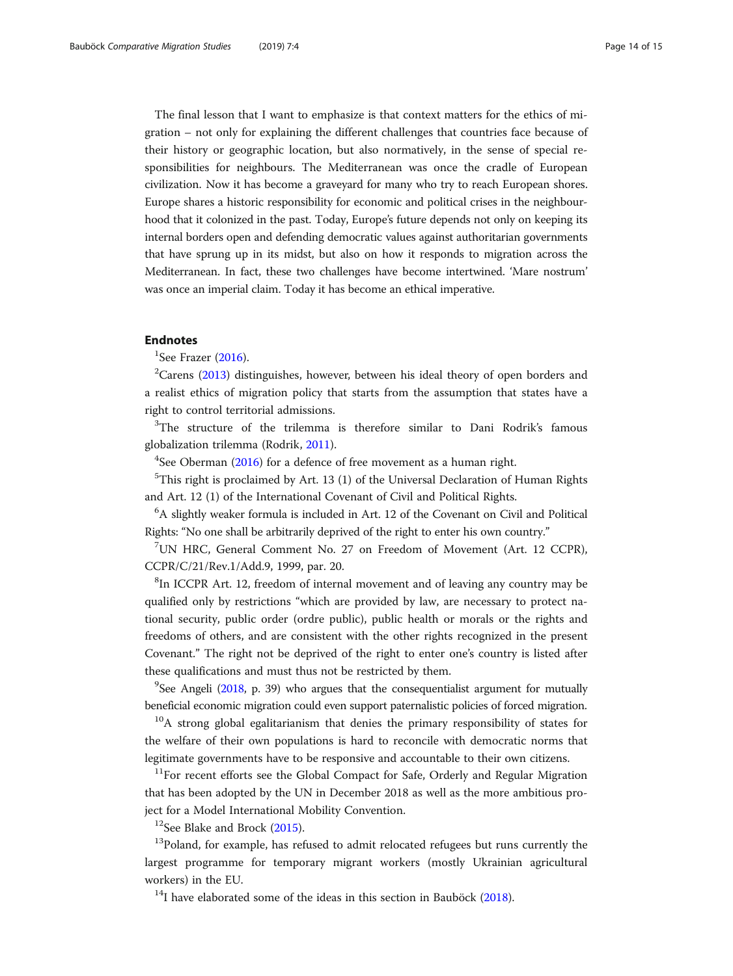The final lesson that I want to emphasize is that context matters for the ethics of migration – not only for explaining the different challenges that countries face because of their history or geographic location, but also normatively, in the sense of special responsibilities for neighbours. The Mediterranean was once the cradle of European civilization. Now it has become a graveyard for many who try to reach European shores. Europe shares a historic responsibility for economic and political crises in the neighbourhood that it colonized in the past. Today, Europe's future depends not only on keeping its internal borders open and defending democratic values against authoritarian governments that have sprung up in its midst, but also on how it responds to migration across the Mediterranean. In fact, these two challenges have become intertwined. 'Mare nostrum' was once an imperial claim. Today it has become an ethical imperative.

## Endnotes

 $1$ See Frazer ([2016](#page-14-0)).

 $2$ Carens [\(2013\)](#page-14-0) distinguishes, however, between his ideal theory of open borders and a realist ethics of migration policy that starts from the assumption that states have a right to control territorial admissions.

 $3$ The structure of the trilemma is therefore similar to Dani Rodrik's famous globalization trilemma (Rodrik, [2011](#page-14-0)).

 $4$ See Oberman [\(2016\)](#page-14-0) for a defence of free movement as a human right.

<sup>5</sup>This right is proclaimed by Art. 13 (1) of the Universal Declaration of Human Rights and Art. 12 (1) of the International Covenant of Civil and Political Rights.

<sup>6</sup>A slightly weaker formula is included in Art. 12 of the Covenant on Civil and Political Rights: "No one shall be arbitrarily deprived of the right to enter his own country."

<sup>7</sup>UN HRC, General Comment No. 27 on Freedom of Movement (Art. 12 CCPR), CCPR/C/21/Rev.1/Add.9, 1999, par. 20.

<sup>8</sup>In ICCPR Art. 12, freedom of internal movement and of leaving any country may be qualified only by restrictions "which are provided by law, are necessary to protect national security, public order (ordre public), public health or morals or the rights and freedoms of others, and are consistent with the other rights recognized in the present Covenant." The right not be deprived of the right to enter one's country is listed after these qualifications and must thus not be restricted by them.

<sup>9</sup>See Angeli [\(2018](#page-14-0), p. 39) who argues that the consequentialist argument for mutually beneficial economic migration could even support paternalistic policies of forced migration.

<sup>10</sup>A strong global egalitarianism that denies the primary responsibility of states for the welfare of their own populations is hard to reconcile with democratic norms that legitimate governments have to be responsive and accountable to their own citizens.

<sup>11</sup>For recent efforts see the Global Compact for Safe, Orderly and Regular Migration that has been adopted by the UN in December 2018 as well as the more ambitious project for a Model International Mobility Convention.

<sup>12</sup>See Blake and Brock ([2015](#page-14-0)).

<sup>13</sup>Poland, for example, has refused to admit relocated refugees but runs currently the largest programme for temporary migrant workers (mostly Ukrainian agricultural workers) in the EU.

 $14$ I have elaborated some of the ideas in this section in Bauböck [\(2018](#page-14-0)).